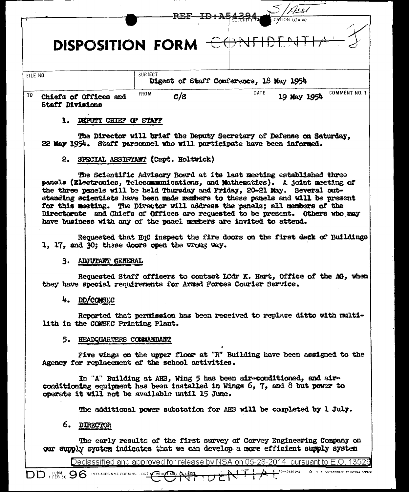|                                                       |                | Ass!                                    |
|-------------------------------------------------------|----------------|-----------------------------------------|
|                                                       | REF ID + A5432 | ICATION (If any)                        |
| DISPOSITION FORM<br>$\overline{\mathcal{L}}$          |                |                                         |
| FILE NO.                                              | SUBJECT        | Digest of Staff Conference, 18 May 1954 |
| TO<br>Chiefs of Offices and<br><b>Staff Divisions</b> | FROM<br>c/s    | COMMENT NO. 1<br>DATE<br>19 May 1954    |
| <b>CHIEF</b><br>STATE<br><b>DEPUTY</b><br>Œ           |                |                                         |

The Director will brief the Deputy Secretary of Defense on Saturday. 22 May 1954. Staff personnel who will participate have been informed.

## 2. SPECIAL ASSISTANT (Capt. Holtwick)

The Scientific Advisory Board at its last meeting established three panels (Electronics, Telecommunications, and Mathematics). A joint meeting of the three panels will be held Thursday and Friday, 20-21 May. Several outstanding scientists have been made members to these panels and will be present for this meeting. The Director will address the panels; all members of the Directorate and Chiefs of Offices are requested to be present. Others who may have business with any of the panel members are invited to attend.

Requested that HqC inspect the fire doors on the first deck of Buildings 1, 17, and 30; these doors open the wrong way.

### 3. ADJUTANT GENERAL

Requested Staff officers to contact LCdr K. Hart, Office of the AG, when they have special requirements for Armed Forces Courier Service.

## $4.$  DD/CONSEC

Reported that permission has been received to replace ditto with multilith in the COMSEC Printing Plant.

### 5. HEADQUARTERS COMMANDANT

Five wings on the upper floor at "R" Building have been assigned to the Agency for replacement of the school activities.

In "A" Building at AHS, Wing 5 has been air-conditioned, and airconditioning equipment has been installed in Wings 6, 7, and 8 but power to operate it will not be available until 15 June.

The additional power substation for AHS will be completed by 1 July.

# 6. DIRECTOR

The early results of the first survey of Corvey Engineering Company on our supply system indicates that we can develop a more efficient supply system

Declassified and approved for release by NSA on 05-28-2014 pursuant to E.O. 13526

 $10 - 54801 - 8$